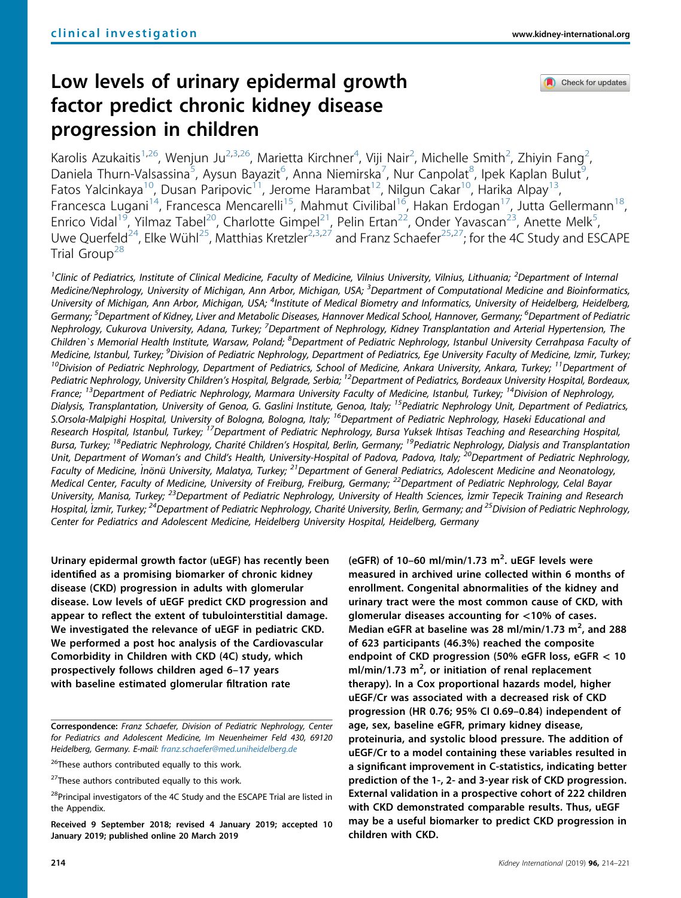# Check for updates

# Low levels of urinary epidermal growth factor predict chronic kidney disease progression in children

Karolis Azukaitis $^{1,26}$ , Wenjun Ju $^{2,3,26}$ , Marietta Kirchner $^4$ , Viji Nair $^2$ , Michelle Smith $^2$ , Zhiyin Fang $^2$ , Daniela Thurn-Valsassina<sup>5</sup>, Aysun Bayazit<sup>6</sup>, Anna Niemirska<sup>7</sup>, Nur Canpolat<sup>8</sup>, Ipek Kaplan Bulut<sup>9</sup> , Fatos Yalcinkaya<sup>10</sup>, Dusan Paripovic<sup>11</sup>, Jerome Harambat<sup>12</sup>, Nilgun Cakar<sup>10</sup>, Harika Alpay<sup>13</sup>, Francesca Lugani<sup>14</sup>, Francesca Mencarelli<sup>15</sup>, Mahmut Civilibal<sup>16</sup>, Hakan Erdogan<sup>17</sup>, Jutta Gellermann<sup>18</sup>, Enrico Vidal<sup>19</sup>, Yilmaz Tabel<sup>20</sup>, Charlotte Gimpel<sup>21</sup>, Pelin Ertan<sup>22</sup>, Onder Yavascan<sup>23</sup>, Anette Melk<sup>5</sup> , Uwe Querfeld<sup>24</sup>, Elke Wühl<sup>25</sup>, Matthias Kretzler<sup>2,3,27</sup> and Franz Schaefer<sup>25,27</sup>; for the 4C Study and ESCAPE Trial Group<sup>28</sup>

<sup>1</sup>Clinic of Pediatrics, Institute of Clinical Medicine, Faculty of Medicine, Vilnius University, Vilnius, Lithuania; <sup>2</sup>Department of Internal Medicine/Nephrology, University of Michigan, Ann Arbor, Michigan, USA; <sup>3</sup>Department of Computational Medicine and Bioinformatics, University of Michigan, Ann Arbor, Michigan, USA; <sup>4</sup>Institute of Medical Biometry and Informatics, University of Heidelberg, Heidelberg, Germany; <sup>5</sup>Department of Kidney, Liver and Metabolic Diseases, Hannover Medical School, Hannover, Germany; <sup>6</sup>Department of Pediatric Nephrology, Cukurova University, Adana, Turkey; <sup>7</sup>Department of Nephrology, Kidney Transplantation and Arterial Hypertension, The Children`s Memorial Health Institute, Warsaw, Poland; <sup>8</sup>Department of Pediatric Nephrology, Istanbul University Cerrahpasa Faculty of Medicine, Istanbul, Turkey; <sup>9</sup>Division of Pediatric Nephrology, Department of Pediatrics, Ege University Faculty of Medicine, Izmir, Turkey; <sup>10</sup>Division of Pediatric Nephrology, Department of Pediatrics, School of Medicine, Ankara University, Ankara, Turkey; <sup>11</sup>Department of Pediatric Nephrology, University Children's Hospital, Belgrade, Serbia; <sup>12</sup>Department of Pediatrics, Bordeaux University Hospital, Bordeaux, France; <sup>13</sup>Department of Pediatric Nephrology, Marmara University Faculty of Medicine, Istanbul, Turkey; <sup>14</sup>Division of Nephrology, Dialysis, Transplantation, University of Genoa, G. Gaslini Institute, Genoa, Italy; <sup>15</sup>Pediatric Nephrology Unit, Department of Pediatrics, S.Orsola-Malpighi Hospital, University of Bologna, Bologna, Italy; <sup>16</sup>Department of Pediatric Nephrology, Haseki Educational and Research Hospital, Istanbul, Turkey; <sup>17</sup>Department of Pediatric Nephrology, Bursa Yuksek Ihtisas Teaching and Researching Hospital, Bursa, Turkey; <sup>18</sup>Pediatric Nephrology, Charité Children's Hospital, Berlin, Germany; <sup>19</sup>Pediatric Nephrology, Dialysis and Transplantation Unit, Department of Woman's and Child's Health, University-Hospital of Padova, Padova, Italy; <sup>20</sup>Department of Pediatric Nephrology, Faculty of Medicine, Inönü University, Malatya, Turkey; <sup>21</sup>Department of General Pediatrics, Adolescent Medicine and Neonatology, Medical Center, Faculty of Medicine, University of Freiburg, Freiburg, Germany; <sup>22</sup>Department of Pediatric Nephrology, Celal Bayar University, Manisa, Turkey; <sup>23</sup>Department of Pediatric Nephrology, University of Health Sciences, İzmir Tepecik Training and Research Hospital, Izmir, Turkey; <sup>24</sup>Department of Pediatric Nephrology, Charité University, Berlin, Germany; and <sup>25</sup>Division of Pediatric Nephrology, Center for Pediatrics and Adolescent Medicine, Heidelberg University Hospital, Heidelberg, Germany

Urinary epidermal growth factor (uEGF) has recently been identified as a promising biomarker of chronic kidney disease (CKD) progression in adults with glomerular disease. Low levels of uEGF predict CKD progression and appear to reflect the extent of tubulointerstitial damage. We investigated the relevance of uEGF in pediatric CKD. We performed a post hoc analysis of the Cardiovascular Comorbidity in Children with CKD (4C) study, which prospectively follows children aged 6–17 years with baseline estimated glomerular filtration rate

Received 9 September 2018; revised 4 January 2019; accepted 10 January 2019; published online 20 March 2019

(eGFR) of 10-60 ml/min/1.73  $m^2$ . uEGF levels were measured in archived urine collected within 6 months of enrollment. Congenital abnormalities of the kidney and urinary tract were the most common cause of CKD, with glomerular diseases accounting for <10% of cases. Median eGFR at baseline was 28 ml/min/1.73  $m^2$ , and 288 of 623 participants (46.3%) reached the composite endpoint of CKD progression (50% eGFR loss, eGFR < 10 ml/min/1.73  $m^2$ , or initiation of renal replacement therapy). In a Cox proportional hazards model, higher uEGF/Cr was associated with a decreased risk of CKD progression (HR 0.76; 95% CI 0.69–0.84) independent of age, sex, baseline eGFR, primary kidney disease, proteinuria, and systolic blood pressure. The addition of uEGF/Cr to a model containing these variables resulted in a significant improvement in C-statistics, indicating better prediction of the 1-, 2- and 3-year risk of CKD progression. External validation in a prospective cohort of 222 children with CKD demonstrated comparable results. Thus, uEGF may be a useful biomarker to predict CKD progression in children with CKD.

Correspondence: Franz Schaefer, Division of Pediatric Nephrology, Center for Pediatrics and Adolescent Medicine, Im Neuenheimer Feld 430, 69120 Heidelberg, Germany. E-mail: [franz.schaefer@med.uniheidelberg.de](mailto:franz.schaefer@med.uniheidelberg.de)

<sup>&</sup>lt;sup>26</sup>These authors contributed equally to this work.

<sup>&</sup>lt;sup>27</sup>These authors contributed equally to this work.

<sup>&</sup>lt;sup>28</sup>Principal investigators of the 4C Study and the ESCAPE Trial are listed in the Appendix.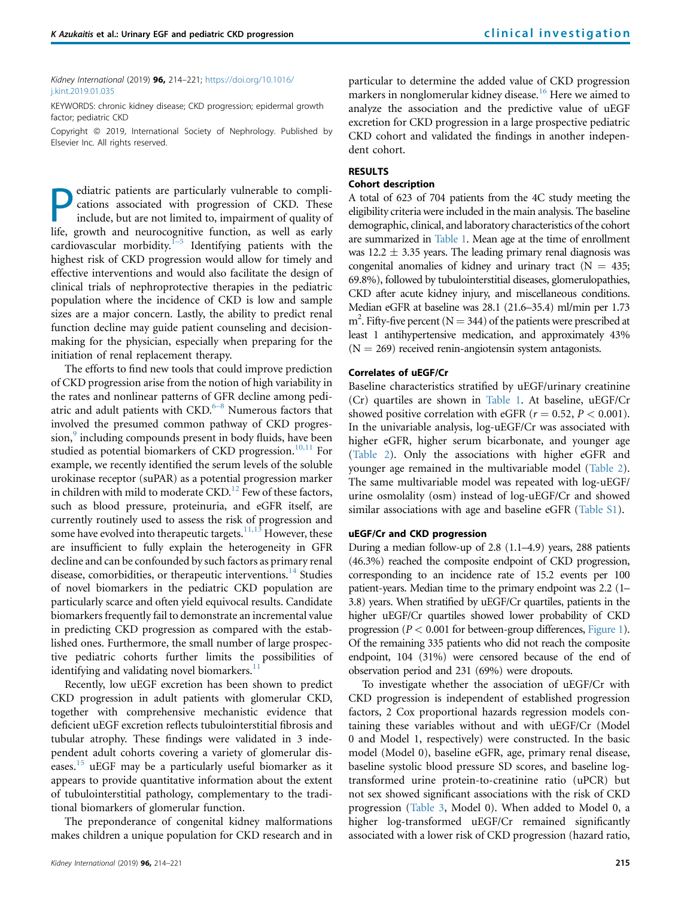# Kidney International (2019) 96, 214–221; [https://doi.org/10.1016/](https://doi.org/10.1016/j.kint.2019.01.035) [j.kint.2019.01.035](https://doi.org/10.1016/j.kint.2019.01.035)

KEYWORDS: chronic kidney disease; CKD progression; epidermal growth factor; pediatric CKD

Copyright @ 2019, International Society of Nephrology. Published by Elsevier Inc. All rights reserved.

**Pediatric patients are particularly vulnerable to complications associated with progression of CKD.** These include, but are not limited to, impairment of quality of life growth and neurocognitive function as well as early cations associated with progression of CKD. These include, but are not limited to, impairment of quality of life, growth and neuroc[ogn](#page-6-0)itive function, as well as early cardiovascular morbidity. $1.5$  Identifying patients with the highest risk of CKD progression would allow for timely and effective interventions and would also facilitate the design of clinical trials of nephroprotective therapies in the pediatric population where the incidence of CKD is low and sample sizes are a major concern. Lastly, the ability to predict renal function decline may guide patient counseling and decisionmaking for the physician, especially when preparing for the initiation of renal replacement therapy.

The efforts to find new tools that could improve prediction of CKD progression arise from the notion of high variability in the rates and nonlinear patterns of GFR decline among pediatric and adult patients with  $CKD$ .<sup>6[–](#page-6-0)8</sup> Numerous factors that involved the presumed common pathway of CKD progres-sion,<sup>[9](#page-7-0)</sup> including compounds present in body fluids, have been studied as potential biomarkers of CKD progression.<sup>[10,11](#page-7-0)</sup> For example, we recently identified the serum levels of the soluble urokinase receptor (suPAR) as a potential progression marker in children with mild to moderate CKD.<sup>[12](#page-7-0)</sup> Few of these factors, such as blood pressure, proteinuria, and eGFR itself, are currently routinely used to assess the risk of progression and some have evolved into therapeutic targets.<sup>[11,13](#page-7-0)</sup> However, these are insufficient to fully explain the heterogeneity in GFR decline and can be confounded by such factors as primary renal disease, comorbidities, or therapeutic interventions.<sup>[14](#page-7-0)</sup> Studies of novel biomarkers in the pediatric CKD population are particularly scarce and often yield equivocal results. Candidate biomarkers frequently fail to demonstrate an incremental value in predicting CKD progression as compared with the established ones. Furthermore, the small number of large prospective pediatric cohorts further limits the possibilities of identifying and validating novel biomarkers.<sup>1</sup>

Recently, low uEGF excretion has been shown to predict CKD progression in adult patients with glomerular CKD, together with comprehensive mechanistic evidence that deficient uEGF excretion reflects tubulointerstitial fibrosis and tubular atrophy. These findings were validated in 3 independent adult cohorts covering a variety of glomerular dis-eases.<sup>[15](#page-7-0)</sup> uEGF may be a particularly useful biomarker as it appears to provide quantitative information about the extent of tubulointerstitial pathology, complementary to the traditional biomarkers of glomerular function.

The preponderance of congenital kidney malformations makes children a unique population for CKD research and in particular to determine the added value of CKD progression markers in nonglomerular kidney disease.<sup>[16](#page-7-0)</sup> Here we aimed to analyze the association and the predictive value of uEGF excretion for CKD progression in a large prospective pediatric CKD cohort and validated the findings in another independent cohort.

# RESULTS

# Cohort description

A total of 623 of 704 patients from the 4C study meeting the eligibility criteria were included in the main analysis. The baseline demographic, clinical, and laboratory characteristics of the cohort are summarized in [Table 1.](#page-2-0) Mean age at the time of enrollment was  $12.2 \pm 3.35$  years. The leading primary renal diagnosis was congenital anomalies of kidney and urinary tract ( $N = 435$ ; 69.8%), followed by tubulointerstitial diseases, glomerulopathies, CKD after acute kidney injury, and miscellaneous conditions. Median eGFR at baseline was 28.1 (21.6–35.4) ml/min per 1.73  $m^2$ . Fifty-five percent (N = 344) of the patients were prescribed at least 1 antihypertensive medication, and approximately 43%  $(N = 269)$  received renin-angiotensin system antagonists.

#### Correlates of uEGF/Cr

Baseline characteristics stratified by uEGF/urinary creatinine (Cr) quartiles are shown in [Table 1](#page-2-0). At baseline, uEGF/Cr showed positive correlation with eGFR ( $r = 0.52$ ,  $P < 0.001$ ). In the univariable analysis, log-uEGF/Cr was associated with higher eGFR, higher serum bicarbonate, and younger age ([Table 2\)](#page-3-0). Only the associations with higher eGFR and younger age remained in the multivariable model ([Table 2\)](#page-3-0). The same multivariable model was repeated with log-uEGF/ urine osmolality (osm) instead of log-uEGF/Cr and showed similar associations with age and baseline eGFR ([Table S1\)](#page-5-0).

# uEGF/Cr and CKD progression

During a median follow-up of 2.8 (1.1–4.9) years, 288 patients (46.3%) reached the composite endpoint of CKD progression, corresponding to an incidence rate of 15.2 events per 100 patient-years. Median time to the primary endpoint was 2.2 (1– 3.8) years. When stratified by uEGF/Cr quartiles, patients in the higher uEGF/Cr quartiles showed lower probability of CKD progression ( $P < 0.001$  for between-group differences, [Figure 1\)](#page-3-0). Of the remaining 335 patients who did not reach the composite endpoint, 104 (31%) were censored because of the end of observation period and 231 (69%) were dropouts.

To investigate whether the association of uEGF/Cr with CKD progression is independent of established progression factors, 2 Cox proportional hazards regression models containing these variables without and with uEGF/Cr (Model 0 and Model 1, respectively) were constructed. In the basic model (Model 0), baseline eGFR, age, primary renal disease, baseline systolic blood pressure SD scores, and baseline logtransformed urine protein-to-creatinine ratio (uPCR) but not sex showed significant associations with the risk of CKD progression ([Table 3](#page-4-0), Model 0). When added to Model 0, a higher log-transformed uEGF/Cr remained significantly associated with a lower risk of CKD progression (hazard ratio,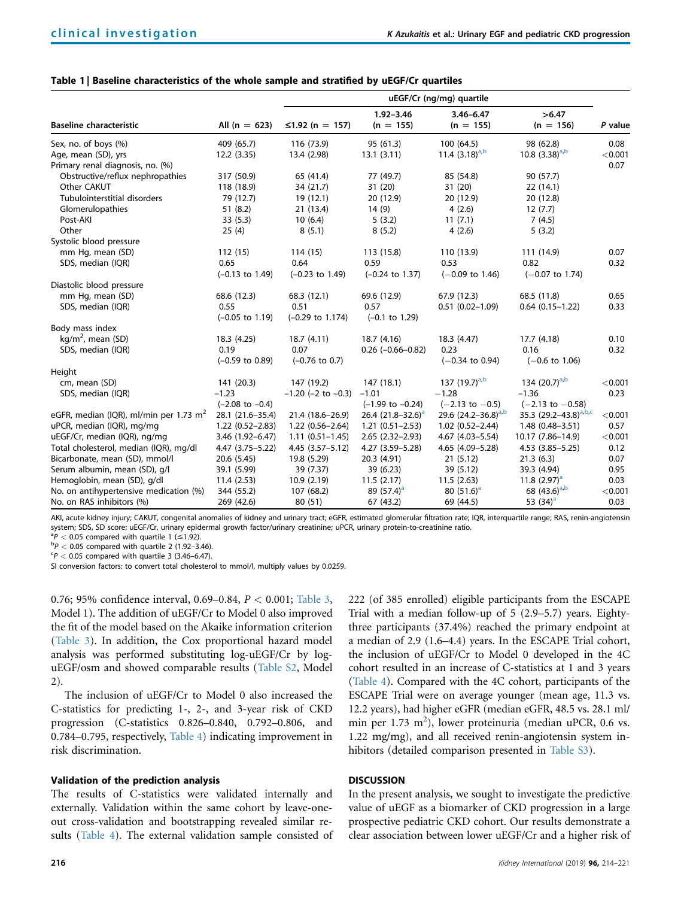|                                                    |                            | uEGF/Cr (ng/mg) quartile   |                              |                              |                             |         |  |  |
|----------------------------------------------------|----------------------------|----------------------------|------------------------------|------------------------------|-----------------------------|---------|--|--|
| <b>Baseline characteristic</b>                     | All $(n = 623)$            | ≤1.92 (n = 157)            | $1.92 - 3.46$<br>$(n = 155)$ | $3.46 - 6.47$<br>$(n = 155)$ | >6.47<br>$(n = 156)$        | P value |  |  |
| Sex, no. of boys (%)                               | 409 (65.7)                 | 116 (73.9)                 | 95 (61.3)                    | 100(64.5)                    | 98 (62.8)                   | 0.08    |  |  |
| Age, mean (SD), yrs                                | 12.2(3.35)                 | 13.4 (2.98)                | 13.1(3.11)                   | 11.4 $(3.18)^{a,b}$          | 10.8 $(3.38)^{a,b}$         | < 0.001 |  |  |
| Primary renal diagnosis, no. (%)                   |                            |                            |                              |                              |                             | 0.07    |  |  |
| Obstructive/reflux nephropathies                   | 317 (50.9)                 | 65 (41.4)                  | 77 (49.7)                    | 85 (54.8)                    | 90 (57.7)                   |         |  |  |
| Other CAKUT                                        | 118 (18.9)                 | 34 (21.7)                  | 31 (20)                      | 31(20)                       | 22(14.1)                    |         |  |  |
| Tubulointerstitial disorders                       | 79 (12.7)                  | 19(12.1)                   | 20 (12.9)                    | 20 (12.9)                    | 20 (12.8)                   |         |  |  |
| Glomerulopathies                                   | 51(8.2)                    | 21(13.4)                   | 14(9)                        | 4(2.6)                       | 12(7.7)                     |         |  |  |
| Post-AKI                                           | 33(5.3)                    | 10(6.4)                    | 5(3.2)                       | 11(7.1)                      | 7(4.5)                      |         |  |  |
| Other                                              | 25(4)                      | 8(5.1)                     | 8(5.2)                       | 4(2.6)                       | 5(3.2)                      |         |  |  |
| Systolic blood pressure                            |                            |                            |                              |                              |                             |         |  |  |
| mm Hg, mean (SD)                                   | 112 (15)                   | 114 (15)                   | 113 (15.8)                   | 110 (13.9)                   | 111 (14.9)                  | 0.07    |  |  |
| SDS, median (IQR)                                  | 0.65                       | 0.64                       | 0.59                         | 0.53                         | 0.82                        | 0.32    |  |  |
|                                                    | $(-0.13$ to $1.49)$        | $(-0.23$ to 1.49)          | $(-0.24 \text{ to } 1.37)$   | $(-0.09$ to 1.46)            | $(-0.07$ to 1.74)           |         |  |  |
| Diastolic blood pressure                           |                            |                            |                              |                              |                             |         |  |  |
| mm Hg, mean (SD)                                   | 68.6 (12.3)                | 68.3 (12.1)                | 69.6 (12.9)                  | 67.9 (12.3)                  | 68.5 (11.8)                 | 0.65    |  |  |
| SDS, median (IQR)                                  | 0.55                       | 0.51                       | 0.57                         | $0.51(0.02 - 1.09)$          | $0.64$ $(0.15-1.22)$        | 0.33    |  |  |
|                                                    | $(-0.05$ to 1.19)          | $(-0.29$ to 1.174)         | $(-0.1 \text{ to } 1.29)$    |                              |                             |         |  |  |
| Body mass index                                    |                            |                            |                              |                              |                             |         |  |  |
| kg/m <sup>2</sup> , mean (SD)                      | 18.3 (4.25)                | 18.7(4.11)                 | 18.7 (4.16)                  | 18.3 (4.47)                  | 17.7 (4.18)                 | 0.10    |  |  |
| SDS, median (IQR)                                  | 0.19                       | 0.07                       | $0.26$ (-0.66-0.82)          | 0.23                         | 0.16                        | 0.32    |  |  |
|                                                    | $(-0.59$ to $0.89)$        | $(-0.76 \text{ to } 0.7)$  |                              | $(-0.34$ to 0.94)            | $(-0.6 \text{ to } 1.06)$   |         |  |  |
| Height                                             |                            |                            |                              |                              |                             |         |  |  |
| cm, mean (SD)                                      | 141 (20.3)                 | 147 (19.2)                 | 147(18.1)                    | 137 $(19.7)^{a,b}$           | 134 $(20.7)^{a,b}$          | < 0.001 |  |  |
| SDS, median (IQR)                                  | $-1.23$                    | $-1.20$ ( $-2$ to $-0.3$ ) | $-1.01$                      | $-1.28$                      | $-1.36$                     | 0.23    |  |  |
|                                                    | $(-2.08 \text{ to } -0.4)$ |                            | $(-1.99$ to $-0.24)$         | $(-2.13 \text{ to } -0.5)$   | $(-2.13 \text{ to } -0.58)$ |         |  |  |
| eGFR, median (IQR), ml/min per 1.73 m <sup>2</sup> | 28.1 (21.6-35.4)           | 21.4 (18.6-26.9)           | 26.4 $(21.8-32.6)^a$         | 29.6 $(24.2 - 36.8)^{a,b}$   | 35.3 $(29.2-43.8)^{a,b,c}$  | < 0.001 |  |  |
| uPCR, median (IQR), mg/mg                          | $1.22(0.52 - 2.83)$        | $1.22(0.56 - 2.64)$        | $1.21(0.51 - 2.53)$          | $1.02(0.52 - 2.44)$          | $1.48(0.48 - 3.51)$         | 0.57    |  |  |
| uEGF/Cr, median (IQR), ng/mg                       | 3.46 (1.92-6.47)           | $1.11(0.51 - 1.45)$        | $2.65(2.32-2.93)$            | $4.67(4.03 - 5.54)$          | 10.17 (7.86-14.9)           | < 0.001 |  |  |
| Total cholesterol, median (IQR), mg/dl             | 4.47 (3.75-5.22)           | $4.45(3.57 - 5.12)$        | 4.27 (3.59-5.28)             | 4.65 (4.09-5.28)             | $4.53(3.85 - 5.25)$         | 0.12    |  |  |
| Bicarbonate, mean (SD), mmol/l                     | 20.6 (5.45)                | 19.8 (5.29)                | 20.3 (4.91)                  | 21(5.12)                     | 21.3(6.3)                   | 0.07    |  |  |
| Serum albumin, mean (SD), g/l                      | 39.1 (5.99)                | 39 (7.37)                  | 39 (6.23)                    | 39 (5.12)                    | 39.3 (4.94)                 | 0.95    |  |  |
| Hemoglobin, mean (SD), g/dl                        | 11.4(2.53)                 | 10.9(2.19)                 | 11.5(2.17)                   | 11.5(2.63)                   | 11.8 $(2.97)^a$             | 0.03    |  |  |
| No. on antihypertensive medication (%)             | 344 (55.2)                 | 107 (68.2)                 | 89 $(57.4)^a$                | 80 $(51.6)^a$                | 68 $(43.6)^{a,b}$           | < 0.001 |  |  |
| No. on RAS inhibitors (%)                          | 269 (42.6)                 | 80 (51)                    | 67 (43.2)                    | 69 (44.5)                    | 53 $(34)^a$                 | 0.03    |  |  |

# <span id="page-2-0"></span>Table 1 | Baseline characteristics of the whole sample and stratified by uEGF/Cr quartiles

AKI, acute kidney injury; CAKUT, congenital anomalies of kidney and urinary tract; eGFR, estimated glomerular filtration rate; IQR, interquartile range; RAS, renin-angiotensin system; SDS, SD score; uEGF/Cr, urinary epidermal growth factor/urinary creatinine; uPCR, urinary protein-to-creatinine ratio.

 ${}^{a}P$  < 0.05 compared with quartile 1 ( $\leq$ 1.92).  ${}^{a}P$   $<$  0.05 compared with quartile 1 ( $\leq$ 1.92).<br> ${}^{b}P$   $>$  0.05 compared with quartile 2.(1.02.2)

 ${}^{6}P$  < 0.05 compared with quartile 2 (1.92–3.46).<br> ${}^{6}P$  < 0.05 compared with quartile 3 (3.46, 6.47)

 $\degree$ P < 0.05 compared with quartile 3 (3.46–6.47)

SI conversion factors: to convert total cholesterol to mmol/l, multiply values by 0.0259.

0.76; 95% confidence interval, 0.69–0.84, P < 0.001; [Table 3,](#page-4-0) Model 1). The addition of uEGF/Cr to Model 0 also improved the fit of the model based on the Akaike information criterion [\(Table 3](#page-4-0)). In addition, the Cox proportional hazard model analysis was performed substituting log-uEGF/Cr by loguEGF/osm and showed comparable results ([Table S2,](#page-5-0) Model 2).

The inclusion of uEGF/Cr to Model 0 also increased the C-statistics for predicting 1-, 2-, and 3-year risk of CKD progression (C-statistics 0.826–0.840, 0.792–0.806, and 0.784–0.795, respectively, [Table 4\)](#page-4-0) indicating improvement in risk discrimination.

## Validation of the prediction analysis

The results of C-statistics were validated internally and externally. Validation within the same cohort by leave-oneout cross-validation and bootstrapping revealed similar results [\(Table 4](#page-4-0)). The external validation sample consisted of

222 (of 385 enrolled) eligible participants from the ESCAPE Trial with a median follow-up of 5 (2.9–5.7) years. Eightythree participants (37.4%) reached the primary endpoint at a median of 2.9 (1.6–4.4) years. In the ESCAPE Trial cohort, the inclusion of uEGF/Cr to Model 0 developed in the 4C cohort resulted in an increase of C-statistics at 1 and 3 years ([Table 4](#page-4-0)). Compared with the 4C cohort, participants of the ESCAPE Trial were on average younger (mean age, 11.3 vs. 12.2 years), had higher eGFR (median eGFR, 48.5 vs. 28.1 ml/ min per 1.73  $m^2$ ), lower proteinuria (median uPCR, 0.6 vs. 1.22 mg/mg), and all received renin-angiotensin system inhibitors (detailed comparison presented in [Table S3](#page-5-0)).

# **DISCUSSION**

In the present analysis, we sought to investigate the predictive value of uEGF as a biomarker of CKD progression in a large prospective pediatric CKD cohort. Our results demonstrate a clear association between lower uEGF/Cr and a higher risk of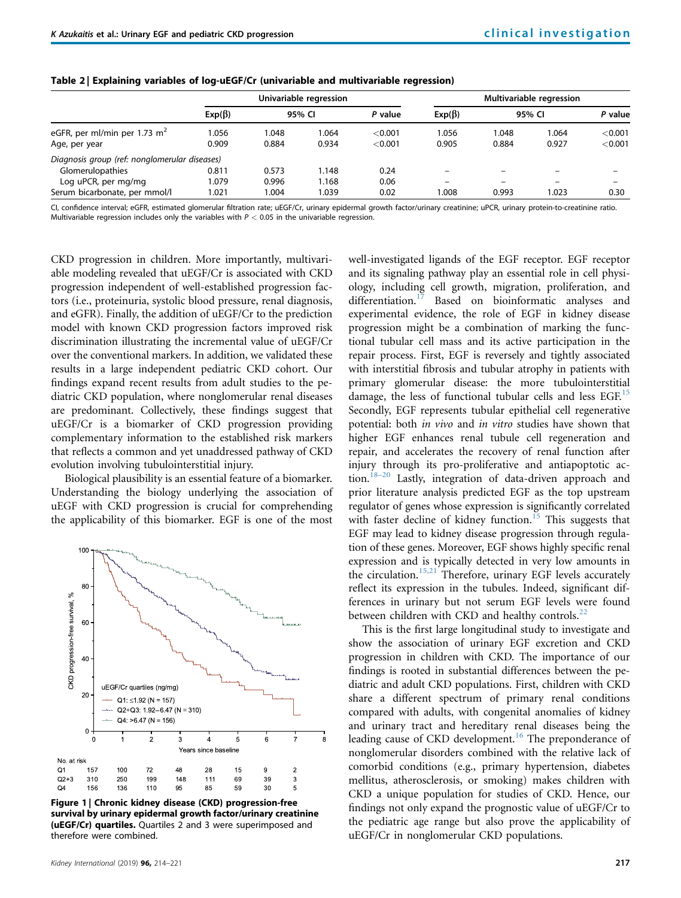|                                               | Univariable regression |       |        |         | Multivariable regression |       |        |         |  |
|-----------------------------------------------|------------------------|-------|--------|---------|--------------------------|-------|--------|---------|--|
|                                               | $Exp(\beta)$           |       | 95% CI | P value | $Exp(\beta)$             |       | 95% CI | P value |  |
| eGFR, per ml/min per 1.73 $m2$                | 1.056                  | 1.048 | 064.ا  | < 0.001 | 1.056                    | 1.048 | 1.064  | < 0.001 |  |
| Age, per year                                 | 0.909                  | 0.884 | 0.934  | < 0.001 | 0.905                    | 0.884 | 0.927  | < 0.001 |  |
| Diagnosis group (ref: nonglomerular diseases) |                        |       |        |         |                          |       |        |         |  |
| Glomerulopathies                              | 0.811                  | 0.573 | l.148  | 0.24    |                          |       |        |         |  |
| Log uPCR, per mg/mg                           | 1.079                  | 0.996 | l.168  | 0.06    |                          |       |        |         |  |
| Serum bicarbonate, per mmol/l                 | 1.021                  | 1.004 | 1.039  | 0.02    | 1.008                    | 0.993 | 1.023  | 0.30    |  |

<span id="page-3-0"></span>Table 2 | Explaining variables of log-uEGF/Cr (univariable and multivariable regression)

CI, confidence interval; eGFR, estimated glomerular filtration rate; uEGF/Cr, urinary epidermal growth factor/urinary creatinine; uPCR, urinary protein-to-creatinine ratio. Multivariable regression includes only the variables with  $P < 0.05$  in the univariable regression.

CKD progression in children. More importantly, multivariable modeling revealed that uEGF/Cr is associated with CKD progression independent of well-established progression factors (i.e., proteinuria, systolic blood pressure, renal diagnosis, and eGFR). Finally, the addition of uEGF/Cr to the prediction model with known CKD progression factors improved risk discrimination illustrating the incremental value of uEGF/Cr over the conventional markers. In addition, we validated these results in a large independent pediatric CKD cohort. Our findings expand recent results from adult studies to the pediatric CKD population, where nonglomerular renal diseases are predominant. Collectively, these findings suggest that uEGF/Cr is a biomarker of CKD progression providing complementary information to the established risk markers that reflects a common and yet unaddressed pathway of CKD evolution involving tubulointerstitial injury.

Biological plausibility is an essential feature of a biomarker. Understanding the biology underlying the association of uEGF with CKD progression is crucial for comprehending the applicability of this biomarker. EGF is one of the most



Figure 1 | Chronic kidney disease (CKD) progression-free survival by urinary epidermal growth factor/urinary creatinine (uEGF/Cr) quartiles. Quartiles 2 and 3 were superimposed and therefore were combined.

well-investigated ligands of the EGF receptor. EGF receptor and its signaling pathway play an essential role in cell physiology, including cell growth, migration, proliferation, and differentiation.<sup>[17](#page-7-0)</sup> Based on bioinformatic analyses and experimental evidence, the role of EGF in kidney disease progression might be a combination of marking the functional tubular cell mass and its active participation in the repair process. First, EGF is reversely and tightly associated with interstitial fibrosis and tubular atrophy in patients with primary glomerular disease: the more tubulointerstitial damage, the less of functional tubular cells and less EGF.<sup>[15](#page-7-0)</sup> Secondly, EGF represents tubular epithelial cell regenerative potential: both in vivo and in vitro studies have shown that higher EGF enhances renal tubule cell regeneration and repair, and accelerates the recovery of renal function after injury through its pro-proliferative and antiapoptotic ac-tion.<sup>[18](#page-7-0)–20</sup> Lastly, integration of data-driven approach and prior literature analysis predicted EGF as the top upstream regulator of genes whose expression is significantly correlated with faster decline of kidney function.<sup>[15](#page-7-0)</sup> This suggests that EGF may lead to kidney disease progression through regulation of these genes. Moreover, EGF shows highly specific renal expression and is typically detected in very low amounts in the circulation.<sup>[15,21](#page-7-0)</sup> Therefore, urinary EGF levels accurately reflect its expression in the tubules. Indeed, significant differences in urinary but not serum EGF levels were found between children with CKD and healthy controls.<sup>[22](#page-7-0)</sup>

This is the first large longitudinal study to investigate and show the association of urinary EGF excretion and CKD progression in children with CKD. The importance of our findings is rooted in substantial differences between the pediatric and adult CKD populations. First, children with CKD share a different spectrum of primary renal conditions compared with adults, with congenital anomalies of kidney and urinary tract and hereditary renal diseases being the leading cause of CKD development.<sup>[16](#page-7-0)</sup> The preponderance of nonglomerular disorders combined with the relative lack of comorbid conditions (e.g., primary hypertension, diabetes mellitus, atherosclerosis, or smoking) makes children with CKD a unique population for studies of CKD. Hence, our findings not only expand the prognostic value of uEGF/Cr to the pediatric age range but also prove the applicability of uEGF/Cr in nonglomerular CKD populations.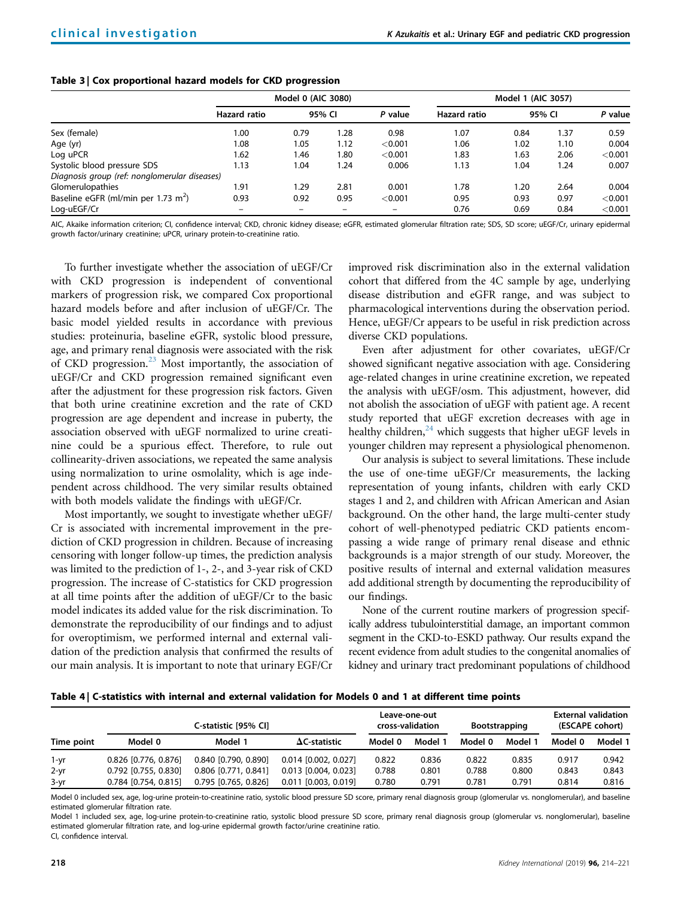# <span id="page-4-0"></span>Table 3 | Cox proportional hazard models for CKD progression

|                                                 | Model 0 (AIC 3080)          |        |      |         | Model 1 (AIC 3057)  |        |      |         |  |
|-------------------------------------------------|-----------------------------|--------|------|---------|---------------------|--------|------|---------|--|
| Sex (female)                                    | <b>Hazard ratio</b><br>1.00 | 95% CI |      | P value | <b>Hazard ratio</b> | 95% CI |      | P value |  |
|                                                 |                             | 0.79   | 1.28 | 0.98    | 1.07                | 0.84   | .37  | 0.59    |  |
| Age (yr)                                        | 1.08                        | 1.05   | 1.12 | < 0.001 | 1.06                | 1.02   | 1.10 | 0.004   |  |
| Log uPCR                                        | 1.62                        | 1.46   | 1.80 | < 0.001 | 1.83                | 1.63   | 2.06 | < 0.001 |  |
| Systolic blood pressure SDS                     | 1.13                        | 1.04   | 1.24 | 0.006   | 1.13                | 1.04   | 1.24 | 0.007   |  |
| Diagnosis group (ref: nonglomerular diseases)   |                             |        |      |         |                     |        |      |         |  |
| Glomerulopathies                                | 1.91                        | .29    | 2.81 | 0.001   | 1.78                | 1.20   | 2.64 | 0.004   |  |
| Baseline eGFR (ml/min per 1.73 m <sup>2</sup> ) | 0.93                        | 0.92   | 0.95 | < 0.001 | 0.95                | 0.93   | 0.97 | < 0.001 |  |
| Log-uEGF/Cr                                     | -                           | -      |      | -       | 0.76                | 0.69   | 0.84 | < 0.001 |  |

AIC, Akaike information criterion; CI, confidence interval; CKD, chronic kidney disease; eGFR, estimated glomerular filtration rate; SDS, SD score; uEGF/Cr, urinary epidermal growth factor/urinary creatinine; uPCR, urinary protein-to-creatinine ratio.

To further investigate whether the association of uEGF/Cr with CKD progression is independent of conventional markers of progression risk, we compared Cox proportional hazard models before and after inclusion of uEGF/Cr. The basic model yielded results in accordance with previous studies: proteinuria, baseline eGFR, systolic blood pressure, age, and primary renal diagnosis were associated with the risk of CKD progression. $^{23}$  $^{23}$  $^{23}$  Most importantly, the association of uEGF/Cr and CKD progression remained significant even after the adjustment for these progression risk factors. Given that both urine creatinine excretion and the rate of CKD progression are age dependent and increase in puberty, the association observed with uEGF normalized to urine creatinine could be a spurious effect. Therefore, to rule out collinearity-driven associations, we repeated the same analysis using normalization to urine osmolality, which is age independent across childhood. The very similar results obtained with both models validate the findings with uEGF/Cr.

Most importantly, we sought to investigate whether uEGF/ Cr is associated with incremental improvement in the prediction of CKD progression in children. Because of increasing censoring with longer follow-up times, the prediction analysis was limited to the prediction of 1-, 2-, and 3-year risk of CKD progression. The increase of C-statistics for CKD progression at all time points after the addition of uEGF/Cr to the basic model indicates its added value for the risk discrimination. To demonstrate the reproducibility of our findings and to adjust for overoptimism, we performed internal and external validation of the prediction analysis that confirmed the results of our main analysis. It is important to note that urinary EGF/Cr improved risk discrimination also in the external validation cohort that differed from the 4C sample by age, underlying disease distribution and eGFR range, and was subject to pharmacological interventions during the observation period. Hence, uEGF/Cr appears to be useful in risk prediction across diverse CKD populations.

Even after adjustment for other covariates, uEGF/Cr showed significant negative association with age. Considering age-related changes in urine creatinine excretion, we repeated the analysis with uEGF/osm. This adjustment, however, did not abolish the association of uEGF with patient age. A recent study reported that uEGF excretion decreases with age in healthy children, $24$  which suggests that higher uEGF levels in younger children may represent a physiological phenomenon.

Our analysis is subject to several limitations. These include the use of one-time uEGF/Cr measurements, the lacking representation of young infants, children with early CKD stages 1 and 2, and children with African American and Asian background. On the other hand, the large multi-center study cohort of well-phenotyped pediatric CKD patients encompassing a wide range of primary renal disease and ethnic backgrounds is a major strength of our study. Moreover, the positive results of internal and external validation measures add additional strength by documenting the reproducibility of our findings.

None of the current routine markers of progression specifically address tubulointerstitial damage, an important common segment in the CKD-to-ESKD pathway. Our results expand the recent evidence from adult studies to the congenital anomalies of kidney and urinary tract predominant populations of childhood

Table 4 | C-statistics with internal and external validation for Models 0 and 1 at different time points

|            | C-statistic [95% CI]   |                      |                        |         | Leave-one-out<br>cross-validation | <b>Bootstrapping</b> |         | <b>External validation</b><br>(ESCAPE cohort) |         |
|------------|------------------------|----------------------|------------------------|---------|-----------------------------------|----------------------|---------|-----------------------------------------------|---------|
| Time point | Model 0                | Model 1              | $\Delta$ C-statistic   | Model 0 | Model 1                           | Model 0              | Model 1 | Model 0                                       | Model 1 |
| $1 - yr$   | 0.826 [0.776, 0.876]   | 0.840 [0.790, 0.890] | 0.014 [0.002, 0.027]   | 0.822   | 0.836                             | 0.822                | 0.835   | 0.917                                         | 0.942   |
| $2-yr$     | $0.792$ [0.755, 0.830] | 0.806 [0.771, 0.841] | $0.013$ [0.004, 0.023] | 0.788   | 0.801                             | 0.788                | 0.800   | 0.843                                         | 0.843   |
| $3 - yr$   | 0.784 [0.754, 0.815]   | 0.795 [0.765, 0.826] | $0.011$ [0.003, 0.019] | 0.780   | 0.791                             | 0.781                | 0.791   | 0.814                                         | 0.816   |

Model 0 included sex, age, log-urine protein-to-creatinine ratio, systolic blood pressure SD score, primary renal diagnosis group (glomerular vs. nonglomerular), and baseline estimated glomerular filtration rate.

Model 1 included sex, age, log-urine protein-to-creatinine ratio, systolic blood pressure SD score, primary renal diagnosis group (glomerular vs. nonglomerular), baseline estimated glomerular filtration rate, and log-urine epidermal growth factor/urine creatinine ratio. CI, confidence interval.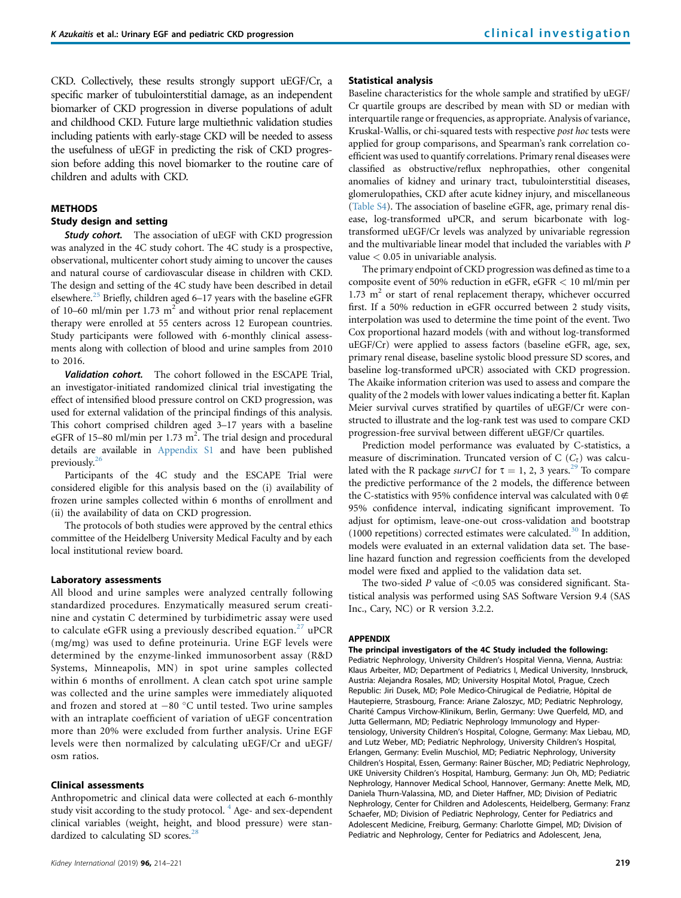<span id="page-5-0"></span>CKD. Collectively, these results strongly support uEGF/Cr, a specific marker of tubulointerstitial damage, as an independent biomarker of CKD progression in diverse populations of adult and childhood CKD. Future large multiethnic validation studies including patients with early-stage CKD will be needed to assess the usefulness of uEGF in predicting the risk of CKD progression before adding this novel biomarker to the routine care of children and adults with CKD.

## METHODS

## Study design and setting

**Study cohort.** The association of uEGF with CKD progression was analyzed in the 4C study cohort. The 4C study is a prospective, observational, multicenter cohort study aiming to uncover the causes and natural course of cardiovascular disease in children with CKD. The design and setting of the 4C study have been described in detail elsewhere. $^{25}$  $^{25}$  $^{25}$  Briefly, children aged 6–17 years with the baseline eGFR of 10–60 ml/min per 1.73  $m<sup>2</sup>$  and without prior renal replacement therapy were enrolled at 55 centers across 12 European countries. Study participants were followed with 6-monthly clinical assessments along with collection of blood and urine samples from 2010 to 2016.

Validation cohort. The cohort followed in the ESCAPE Trial, an investigator-initiated randomized clinical trial investigating the effect of intensified blood pressure control on CKD progression, was used for external validation of the principal findings of this analysis. This cohort comprised children aged 3–17 years with a baseline eGFR of 15-80 ml/min per 1.73 m<sup>2</sup>. The trial design and procedural details are available in Appendix S1 and have been published previously.[26](#page-7-0)

Participants of the 4C study and the ESCAPE Trial were considered eligible for this analysis based on the (i) availability of frozen urine samples collected within 6 months of enrollment and (ii) the availability of data on CKD progression.

The protocols of both studies were approved by the central ethics committee of the Heidelberg University Medical Faculty and by each local institutional review board.

#### Laboratory assessments

All blood and urine samples were analyzed centrally following standardized procedures. Enzymatically measured serum creatinine and cystatin C determined by turbidimetric assay were used to calculate eGFR using a previously described equation.<sup>[27](#page-7-0)</sup> uPCR (mg/mg) was used to define proteinuria. Urine EGF levels were determined by the enzyme-linked immunosorbent assay (R&D Systems, Minneapolis, MN) in spot urine samples collected within 6 months of enrollment. A clean catch spot urine sample was collected and the urine samples were immediately aliquoted and frozen and stored at  $-80$  °C until tested. Two urine samples with an intraplate coefficient of variation of uEGF concentration more than 20% were excluded from further analysis. Urine EGF levels were then normalized by calculating uEGF/Cr and uEGF/ osm ratios.

### Clinical assessments

Anthropometric and clinical data were collected at each 6-monthly study visit according to the study protocol.  $4$  Age- and sex-dependent clinical variables (weight, height, and blood pressure) were stan-dardized to calculating SD scores.<sup>[28](#page-7-0)</sup>

#### Statistical analysis

Baseline characteristics for the whole sample and stratified by uEGF/ Cr quartile groups are described by mean with SD or median with interquartile range or frequencies, as appropriate. Analysis of variance, Kruskal-Wallis, or chi-squared tests with respective post hoc tests were applied for group comparisons, and Spearman's rank correlation coefficient was used to quantify correlations. Primary renal diseases were classified as obstructive/reflux nephropathies, other congenital anomalies of kidney and urinary tract, tubulointerstitial diseases, glomerulopathies, CKD after acute kidney injury, and miscellaneous (Table S4). The association of baseline eGFR, age, primary renal disease, log-transformed uPCR, and serum bicarbonate with logtransformed uEGF/Cr levels was analyzed by univariable regression and the multivariable linear model that included the variables with P value < 0.05 in univariable analysis.

The primary endpoint of CKD progression was defined as time to a composite event of 50% reduction in eGFR, eGFR < 10 ml/min per 1.73  $m<sup>2</sup>$  or start of renal replacement therapy, whichever occurred first. If a 50% reduction in eGFR occurred between 2 study visits, interpolation was used to determine the time point of the event. Two Cox proportional hazard models (with and without log-transformed uEGF/Cr) were applied to assess factors (baseline eGFR, age, sex, primary renal disease, baseline systolic blood pressure SD scores, and baseline log-transformed uPCR) associated with CKD progression. The Akaike information criterion was used to assess and compare the quality of the 2 models with lower values indicating a better fit. Kaplan Meier survival curves stratified by quartiles of uEGF/Cr were constructed to illustrate and the log-rank test was used to compare CKD progression-free survival between different uEGF/Cr quartiles.

Prediction model performance was evaluated by C-statistics, a measure of discrimination. Truncated version of C  $(C<sub>\tau</sub>)$  was calculated with the R package *survC1* for  $\tau = 1, 2, 3$  years.<sup>[29](#page-7-0)</sup> To compare the predictive performance of the 2 models, the difference between the C-statistics with 95% confidence interval was calculated with  $0 \notin$ 95% confidence interval, indicating significant improvement. To adjust for optimism, leave-one-out cross-validation and bootstrap (1000 repetitions) corrected estimates were calculated. $30$  In addition, models were evaluated in an external validation data set. The baseline hazard function and regression coefficients from the developed model were fixed and applied to the validation data set.

The two-sided  $P$  value of  $\langle 0.05 \rangle$  was considered significant. Statistical analysis was performed using SAS Software Version 9.4 (SAS Inc., Cary, NC) or R version 3.2.2.

#### APPENDIX

#### The principal investigators of the 4C Study included the following:

Pediatric Nephrology, University Children's Hospital Vienna, Vienna, Austria: Klaus Arbeiter, MD; Department of Pediatrics I, Medical University, Innsbruck, Austria: Alejandra Rosales, MD; University Hospital Motol, Prague, Czech Republic: Jiri Dusek, MD; Pole Medico-Chirugical de Pediatrie, Hôpital de Hautepierre, Strasbourg, France: Ariane Zaloszyc, MD; Pediatric Nephrology, Charité Campus Virchow-Klinikum, Berlin, Germany: Uwe Querfeld, MD, and Jutta Gellermann, MD; Pediatric Nephrology Immunology and Hypertensiology, University Children's Hospital, Cologne, Germany: Max Liebau, MD, and Lutz Weber, MD; Pediatric Nephrology, University Children's Hospital, Erlangen, Germany: Evelin Muschiol, MD; Pediatric Nephrology, University Children's Hospital, Essen, Germany: Rainer Büscher, MD; Pediatric Nephrology, UKE University Children's Hospital, Hamburg, Germany: Jun Oh, MD; Pediatric Nephrology, Hannover Medical School, Hannover, Germany: Anette Melk, MD, Daniela Thurn-Valassina, MD, and Dieter Haffner, MD; Division of Pediatric Nephrology, Center for Children and Adolescents, Heidelberg, Germany: Franz Schaefer, MD; Division of Pediatric Nephrology, Center for Pediatrics and Adolescent Medicine, Freiburg, Germany: Charlotte Gimpel, MD; Division of Pediatric and Nephrology, Center for Pediatrics and Adolescent, Jena,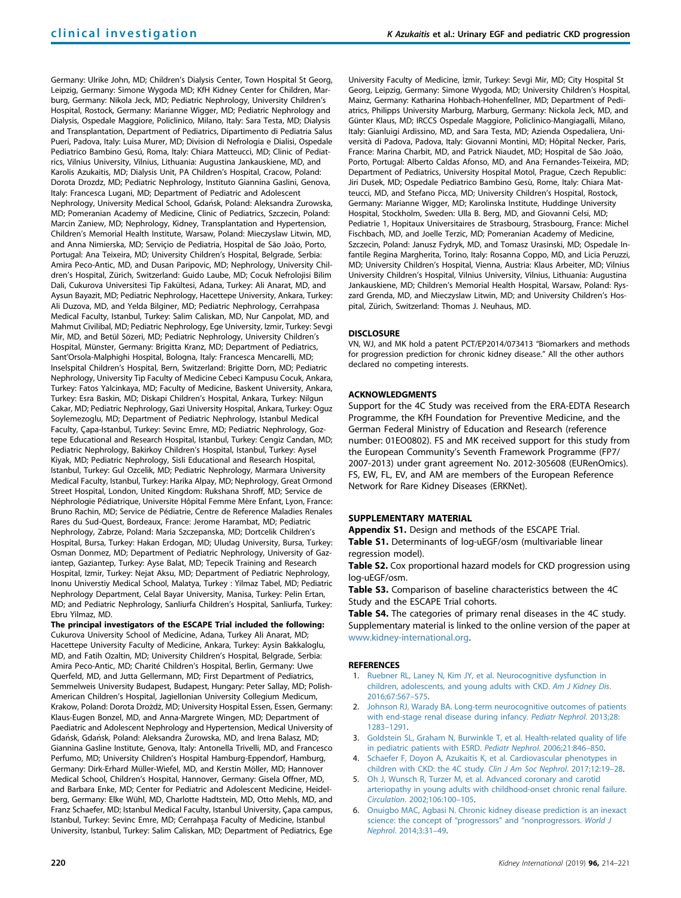<span id="page-6-0"></span>Germany: Ulrike John, MD; Children's Dialysis Center, Town Hospital St Georg, Leipzig, Germany: Simone Wygoda MD; KfH Kidney Center for Children, Marburg, Germany: Nikola Jeck, MD; Pediatric Nephrology, University Children's Hospital, Rostock, Germany: Marianne Wigger, MD; Pediatric Nephrology and Dialysis, Ospedale Maggiore, Policlinico, Milano, Italy: Sara Testa, MD; Dialysis and Transplantation, Department of Pediatrics, Dipartimento di Pediatria Salus Pueri, Padova, Italy: Luisa Murer, MD; Division di Nefrologia e Dialisi, Ospedale Pediatrico Bambino Gesú, Roma, Italy: Chiara Matteucci, MD; Clinic of Pediatrics, Vilnius University, Vilnius, Lithuania: Augustina Jankauskiene, MD, and Karolis Azukaitis, MD; Dialysis Unit, PA Children's Hospital, Cracow, Poland: Dorota Drozdz, MD; Pediatric Nephrology, Instituto Giannina Gaslini, Genova, Italy: Francesca Lugani, MD; Department of Pediatric and Adolescent Nephrology, University Medical School, Gdańsk, Poland: Aleksandra Zurowska, MD; Pomeranian Academy of Medicine, Clinic of Pediatrics, Szczecin, Poland: Marcin Zaniew, MD; Nephrology, Kidney, Transplantation and Hypertension, Children's Memorial Health Institute, Warsaw, Poland: Mieczyslaw Litwin, MD, and Anna Nimierska, MD; Serviçio de Pediatria, Hospital de São João, Porto, Portugal: Ana Teixeira, MD; University Children's Hospital, Belgrade, Serbia: Amira Peco-Antic, MD, and Dusan Paripovic, MD; Nephrology, University Children's Hospital, Zürich, Switzerland: Guido Laube, MD; Cocuk Nefrolojisi Bilim Dali, Cukurova Universitesi Tip Fakültesi, Adana, Turkey: Ali Anarat, MD, and Aysun Bayazit, MD; Pediatric Nephrology, Hacettepe University, Ankara, Turkey: Ali Duzova, MD, and Yelda Bilginer, MD; Pediatric Nephrology, Cerrahpasa Medical Faculty, Istanbul, Turkey: Salim Caliskan, MD, Nur Canpolat, MD, and Mahmut Civilibal, MD; Pediatric Nephrology, Ege University, Izmir, Turkey: Sevgi Mir, MD, and Betül Sözeri, MD; Pediatric Nephrology, University Children's Hospital, Münster, Germany: Brigitta Kranz, MD; Department of Pediatrics, Sant'Orsola-Malphighi Hospital, Bologna, Italy: Francesca Mencarelli, MD; Inselspital Children's Hospital, Bern, Switzerland: Brigitte Dorn, MD; Pediatric Nephrology, University Tip Faculty of Medicine Cebeci Kampusu Cocuk, Ankara, Turkey: Fatos Yalcinkaya, MD; Faculty of Medicine, Baskent University, Ankara, Turkey: Esra Baskin, MD; Diskapi Children's Hospital, Ankara, Turkey: Nilgun Cakar, MD; Pediatric Nephrology, Gazi University Hospital, Ankara, Turkey: Oguz Soylemezoglu, MD; Department of Pediatric Nephrology, Istanbul Medical Faculty, Çapa-Istanbul, Turkey: Sevinc Emre, MD; Pediatric Nephrology, Goztepe Educational and Research Hospital, Istanbul, Turkey: Cengiz Candan, MD; Pediatric Nephrology, Bakirkoy Children's Hospital, Istanbul, Turkey: Aysel Kiyak, MD; Pediatric Nephrology, Sisli Educational and Research Hospital, Istanbul, Turkey: Gul Ozcelik, MD; Pediatric Nephrology, Marmara University Medical Faculty, Istanbul, Turkey: Harika Alpay, MD; Nephrology, Great Ormond Street Hospital, London, United Kingdom: Rukshana Shroff, MD; Service de Néphrologie Pédiatrique, Universite Hôpital Femme Mère Enfant, Lyon, France: Bruno Rachin, MD; Service de Pédiatrie, Centre de Reference Maladies Renales Rares du Sud-Quest, Bordeaux, France: Jerome Harambat, MD; Pediatric Nephrology, Zabrze, Poland: Maria Szczepanska, MD; Dortcelik Children's Hospital, Bursa, Turkey: Hakan Erdogan, MD; Uludag University, Bursa, Turkey: Osman Donmez, MD; Department of Pediatric Nephrology, University of Gaziantep, Gaziantep, Turkey: Ayse Balat, MD; Tepecik Training and Research Hospital, Izmir, Turkey: Nejat Aksu, MD; Department of Pediatric Nephrology, Inonu Universtiy Medical School, Malatya, Turkey : Yilmaz Tabel, MD; Pediatric Nephrology Department, Celal Bayar University, Manisa, Turkey: Pelin Ertan, MD; and Pediatric Nephrology, Sanliurfa Children's Hospital, Sanliurfa, Turkey: Ebru Yilmaz, MD.

The principal investigators of the ESCAPE Trial included the following: Cukurova University School of Medicine, Adana, Turkey Ali Anarat, MD; Hacettepe University Faculty of Medicine, Ankara, Turkey: Aysin Bakkaloglu, MD, and Fatih Ozaltin, MD; University Children's Hospital, Belgrade, Serbia: Amira Peco-Antic, MD; Charité Children's Hospital, Berlin, Germany: Uwe Querfeld, MD, and Jutta Gellermann, MD; First Department of Pediatrics, Semmelweis University Budapest, Budapest, Hungary: Peter Sallay, MD; Polish-American Children's Hospital, Jagiellonian University Collegium Medicum, Krakow, Poland: Dorota Drożdż, MD; University Hospital Essen, Essen, Germany: Klaus-Eugen Bonzel, MD, and Anna-Margrete Wingen, MD; Department of Paediatric and Adolescent Nephrology and Hypertension, Medical University of Gdańsk, Gdańsk, Poland: Aleksandra Zurowska, MD, and Irena Balasz, MD; Giannina Gasline Institute, Genova, Italy: Antonella Trivelli, MD, and Francesco Perfumo, MD; University Children's Hospital Hamburg-Eppendorf, Hamburg, Germany: Dirk-Erhard Müller-Wiefel, MD, and Kerstin Möller, MD; Hannover Medical School, Children's Hospital, Hannover, Germany: Gisela Offner, MD, and Barbara Enke, MD; Center for Pediatric and Adolescent Medicine, Heidelberg, Germany: Elke Wühl, MD, Charlotte Hadtstein, MD, Otto Mehls, MD, and Franz Schaefer, MD; Istanbul Medical Faculty, Istanbul University, Çapa campus, Istanbul, Turkey: Sevinc Emre, MD; Cerrahpaşa Faculty of Medicine, Istanbul University, Istanbul, Turkey: Salim Caliskan, MD; Department of Pediatrics, Ege

University Faculty of Medicine, İzmir, Turkey: Sevgi Mir, MD; City Hospital St Georg, Leipzig, Germany: Simone Wygoda, MD; University Children's Hospital, Mainz, Germany: Katharina Hohbach-Hohenfellner, MD; Department of Pediatrics, Philipps University Marburg, Marburg, Germany: Nickola Jeck, MD, and Günter Klaus, MD; IRCCS Ospedale Maggiore, Policlinico-Mangiagalli, Milano, Italy: Gianluigi Ardissino, MD, and Sara Testa, MD; Azienda Ospedaliera, Università di Padova, Padova, Italy: Giovanni Montini, MD; Hôpital Necker, Paris, France: Marina Charbit, MD, and Patrick Niaudet, MD; Hospital de São João, Porto, Portugal: Alberto Caldas Afonso, MD, and Ana Fernandes-Teixeira, MD; Department of Pediatrics, University Hospital Motol, Prague, Czech Republic: Jiri Dusek, MD; Ospedale Pediatrico Bambino Gesù, Rome, Italy: Chiara Matteucci, MD, and Stefano Picca, MD; University Children's Hospital, Rostock, Germany: Marianne Wigger, MD; Karolinska Institute, Huddinge University Hospital, Stockholm, Sweden: Ulla B. Berg, MD, and Giovanni Celsi, MD; Pediatrie 1, Hopitaux Universitaires de Strasbourg, Strasbourg, France: Michel Fischbach, MD, and Joelle Terzic, MD; Pomeranian Academy of Medicine, Szczecin, Poland: Janusz Fydryk, MD, and Tomasz Urasinski, MD; Ospedale Infantile Regina Margherita, Torino, Italy: Rosanna Coppo, MD, and Licia Peruzzi, MD; University Children's Hospital, Vienna, Austria: Klaus Arbeiter, MD; Vilnius University Children's Hospital, Vilnius University, Vilnius, Lithuania: Augustina Jankauskiene, MD; Children's Memorial Health Hospital, Warsaw, Poland: Ryszard Grenda, MD, and Mieczyslaw Litwin, MD; and University Children's Hospital, Zürich, Switzerland: Thomas J. Neuhaus, MD.

## DISCLOSURE

VN, WJ, and MK hold a patent PCT/EP2014/073413 "Biomarkers and methods for progression prediction for chronic kidney disease." All the other authors declared no competing interests.

#### ACKNOWLEDGMENTS

Support for the 4C Study was received from the ERA-EDTA Research Programme, the KfH Foundation for Preventive Medicine, and the German Federal Ministry of Education and Research (reference number: 01EO0802). FS and MK received support for this study from the European Community's Seventh Framework Programme (FP7/ 2007-2013) under grant agreement No. 2012-305608 (EURenOmics). FS, EW, FL, EV, and AM are members of the European Reference Network for Rare Kidney Diseases (ERKNet).

## SUPPLEMENTARY MATERIAL

Appendix S1. Design and methods of the ESCAPE Trial. Table S1. Determinants of log-uEGF/osm (multivariable linear regression model).

Table S2. Cox proportional hazard models for CKD progression using log-uEGF/osm.

Table S3. Comparison of baseline characteristics between the 4C Study and the ESCAPE Trial cohorts.

Table S4. The categories of primary renal diseases in the 4C study. Supplementary material is linked to the online version of the paper at [www.kidney-international.org.](http://www.kidney-international.org)

#### **REFERENCES**

- 1. [Ruebner RL, Laney N, Kim JY, et al. Neurocognitive dysfunction in](http://refhub.elsevier.com/S0085-2538(19)30184-X/sref1) [children, adolescents, and young adults with CKD.](http://refhub.elsevier.com/S0085-2538(19)30184-X/sref1) Am J Kidney Dis. [2016;67:567](http://refhub.elsevier.com/S0085-2538(19)30184-X/sref1)–575.
- 2. [Johnson RJ, Warady BA. Long-term neurocognitive outcomes of patients](http://refhub.elsevier.com/S0085-2538(19)30184-X/sref2) [with end-stage renal disease during infancy.](http://refhub.elsevier.com/S0085-2538(19)30184-X/sref2) Pediatr Nephrol. 2013;28: 1283–[1291.](http://refhub.elsevier.com/S0085-2538(19)30184-X/sref2)
- 3. [Goldstein SL, Graham N, Burwinkle T, et al. Health-related quality of life](http://refhub.elsevier.com/S0085-2538(19)30184-X/sref3) [in pediatric patients with ESRD.](http://refhub.elsevier.com/S0085-2538(19)30184-X/sref3) Pediatr Nephrol. 2006;21:846–850.
- 4. [Schaefer F, Doyon A, Azukaitis K, et al. Cardiovascular phenotypes in](http://refhub.elsevier.com/S0085-2538(19)30184-X/sref4) [children with CKD: the 4C study.](http://refhub.elsevier.com/S0085-2538(19)30184-X/sref4) Clin J Am Soc Nephrol. 2017;12:19–28.
- 5. [Oh J, Wunsch R, Turzer M, et al. Advanced coronary and carotid](http://refhub.elsevier.com/S0085-2538(19)30184-X/sref5) [arteriopathy in young adults with childhood-onset chronic renal failure.](http://refhub.elsevier.com/S0085-2538(19)30184-X/sref5) Circulation[. 2002;106:100](http://refhub.elsevier.com/S0085-2538(19)30184-X/sref5)–105.
- 6. [Onuigbo MAC, Agbasi N. Chronic kidney disease prediction is an inexact](http://refhub.elsevier.com/S0085-2538(19)30184-X/sref6) [science: the concept of](http://refhub.elsevier.com/S0085-2538(19)30184-X/sref6) "progressors" and "nonprogressors. World J Nephrol[. 2014;3:31](http://refhub.elsevier.com/S0085-2538(19)30184-X/sref6)–49.